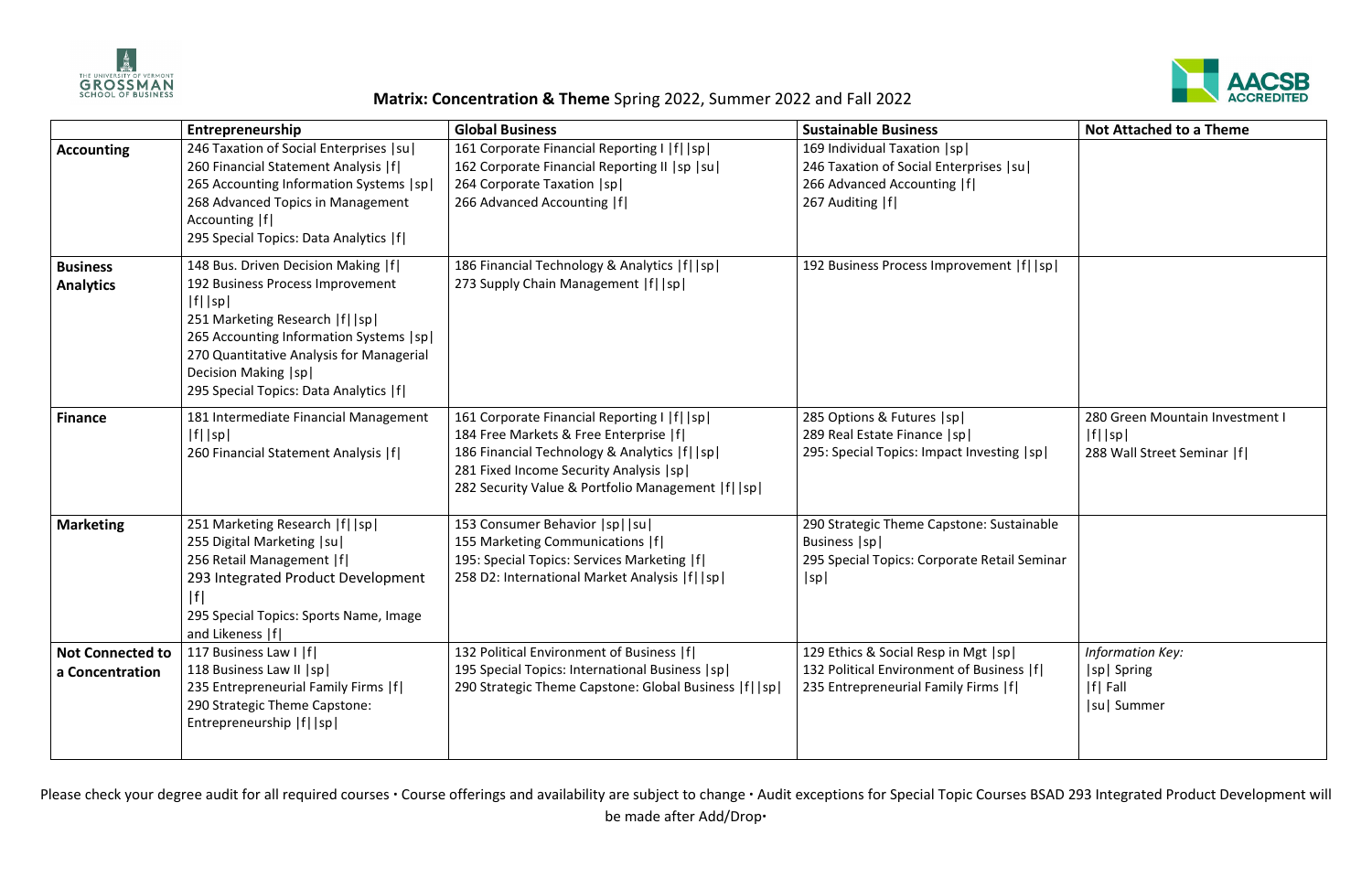

## **Matrix: Concentration & Theme** Spring 2022, Summer 2022 and Fall 2022

Please check your degree audit for all required courses **·** Course offerings and availability are subject to change **·** Audit exceptions for Special Topic Courses BSAD 293 Integrated Product Development will be made after Add/Drop**·**



|                                            | Entrepreneurship                                                                                                                                                                                                                                                                            | <b>Global Business</b>                                                                                                                                                                                                                          | <b>Sustainable Business</b>                                                                                                    | <b>Not Attached to a Theme</b>                                              |
|--------------------------------------------|---------------------------------------------------------------------------------------------------------------------------------------------------------------------------------------------------------------------------------------------------------------------------------------------|-------------------------------------------------------------------------------------------------------------------------------------------------------------------------------------------------------------------------------------------------|--------------------------------------------------------------------------------------------------------------------------------|-----------------------------------------------------------------------------|
| <b>Accounting</b>                          | 246 Taxation of Social Enterprises   su  <br>260 Financial Statement Analysis   f <br>265 Accounting Information Systems   sp  <br>268 Advanced Topics in Management<br>Accounting  f <br>295 Special Topics: Data Analytics   f                                                            | 161 Corporate Financial Reporting I   f    sp <br>162 Corporate Financial Reporting II   sp   su  <br>264 Corporate Taxation   sp  <br>266 Advanced Accounting   f                                                                              | 169 Individual Taxation   sp  <br>246 Taxation of Social Enterprises   su  <br>266 Advanced Accounting  f <br>267 Auditing   f |                                                                             |
| <b>Business</b><br><b>Analytics</b>        | 148 Bus. Driven Decision Making   f <br>192 Business Process Improvement<br>$ f $   sp  <br>251 Marketing Research   f    sp  <br>265 Accounting Information Systems   sp  <br>270 Quantitative Analysis for Managerial<br>Decision Making   sp  <br>295 Special Topics: Data Analytics   f | 186 Financial Technology & Analytics   f    sp  <br>273 Supply Chain Management   f    sp                                                                                                                                                       | 192 Business Process Improvement   f    sp                                                                                     |                                                                             |
| <b>Finance</b>                             | 181 Intermediate Financial Management<br>$ f $   sp  <br>260 Financial Statement Analysis   f                                                                                                                                                                                               | 161 Corporate Financial Reporting I   f    sp <br>184 Free Markets & Free Enterprise   f <br>186 Financial Technology & Analytics   f    sp  <br>281 Fixed Income Security Analysis   sp  <br>282 Security Value & Portfolio Management  f   sp | 285 Options & Futures  sp <br>289 Real Estate Finance   sp  <br>295: Special Topics: Impact Investing  sp                      | 280 Green Mountain Investment I<br>$ f $  sp <br>288 Wall Street Seminar  f |
| <b>Marketing</b>                           | 251 Marketing Research   f    sp <br>255 Digital Marketing   su  <br>256 Retail Management   f <br>293 Integrated Product Development<br> f <br>295 Special Topics: Sports Name, Image<br>and Likeness   f                                                                                  | 153 Consumer Behavior   sp     su  <br>155 Marketing Communications   f <br>195: Special Topics: Services Marketing   f <br>258 D2: International Market Analysis   f    sp                                                                     | 290 Strategic Theme Capstone: Sustainable<br>Business   sp  <br>295 Special Topics: Corporate Retail Seminar<br> sp            |                                                                             |
| <b>Not Connected to</b><br>a Concentration | 117 Business Law I   f <br>118 Business Law II   sp  <br>235 Entrepreneurial Family Firms   f <br>290 Strategic Theme Capstone:<br>Entrepreneurship   f    sp                                                                                                                               | 132 Political Environment of Business   f <br>195 Special Topics: International Business   sp  <br>290 Strategic Theme Capstone: Global Business  f   sp                                                                                        | 129 Ethics & Social Resp in Mgt  sp <br>132 Political Environment of Business   f <br>235 Entrepreneurial Family Firms   f     | <b>Information Key:</b><br> sp  Spring<br>$ f $ Fall<br> su  Summer         |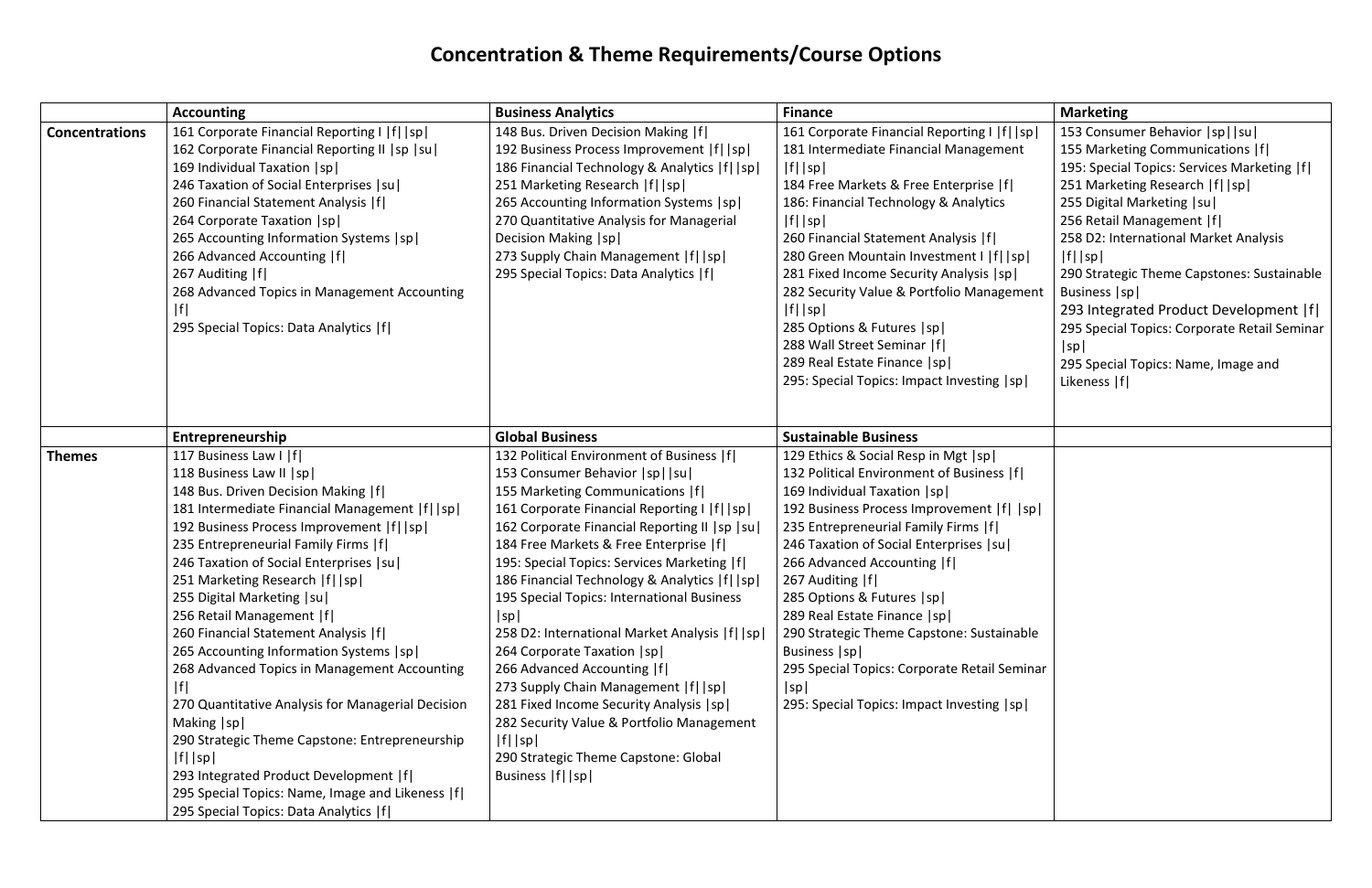## **Concentration & Theme Requirements/Course Options**

|                       | <b>Accounting</b>                                               | <b>Business Analytics</b>                       | <b>Finance</b>                                | <b>Marketing</b>                             |
|-----------------------|-----------------------------------------------------------------|-------------------------------------------------|-----------------------------------------------|----------------------------------------------|
| <b>Concentrations</b> | 161 Corporate Financial Reporting I   f    sp                   | 148 Bus. Driven Decision Making   f             | 161 Corporate Financial Reporting I   f    sp | 153 Consumer Behavior   sp     su            |
|                       | 162 Corporate Financial Reporting II   sp   su                  | 192 Business Process Improvement   f    sp      | 181 Intermediate Financial Management         | 155 Marketing Communications   f             |
|                       | 169 Individual Taxation   sp                                    | 186 Financial Technology & Analytics   f    sp  | $ f $   sp                                    | 195: Special Topics: Services Marketing  f   |
|                       | 246 Taxation of Social Enterprises   su                         | 251 Marketing Research   f    sp                | 184 Free Markets & Free Enterprise  f         | 251 Marketing Research   f    sp             |
|                       | 260 Financial Statement Analysis   f                            | 265 Accounting Information Systems   sp         | 186: Financial Technology & Analytics         | 255 Digital Marketing   su                   |
|                       | 264 Corporate Taxation   sp                                     | 270 Quantitative Analysis for Managerial        | $ f $ $ sp $                                  | 256 Retail Management  f                     |
|                       | 265 Accounting Information Systems   sp                         | Decision Making   sp                            | 260 Financial Statement Analysis   f          | 258 D2: International Market Analysis        |
|                       | 266 Advanced Accounting   f                                     | 273 Supply Chain Management   f    sp           | 280 Green Mountain Investment I   f    sp     | $ f $   sp                                   |
|                       | 267 Auditing  f                                                 | 295 Special Topics: Data Analytics   f          | 281 Fixed Income Security Analysis   sp       | 290 Strategic Theme Capstones: Sustainable   |
|                       | 268 Advanced Topics in Management Accounting                    |                                                 | 282 Security Value & Portfolio Management     | Business   sp                                |
|                       |                                                                 |                                                 | $ f $ $ sp $                                  | 293 Integrated Product Development  f        |
|                       | 295 Special Topics: Data Analytics   f                          |                                                 | 285 Options & Futures   sp                    | 295 Special Topics: Corporate Retail Seminar |
|                       |                                                                 |                                                 | 288 Wall Street Seminar   f                   | sp                                           |
|                       |                                                                 |                                                 | 289 Real Estate Finance   sp                  | 295 Special Topics: Name, Image and          |
|                       |                                                                 |                                                 | 295: Special Topics: Impact Investing   sp    | Likeness   f                                 |
|                       |                                                                 |                                                 |                                               |                                              |
|                       |                                                                 |                                                 |                                               |                                              |
|                       | Entrepreneurship                                                | <b>Global Business</b>                          | <b>Sustainable Business</b>                   |                                              |
| <b>Themes</b>         | 117 Business Law I   f                                          | 132 Political Environment of Business  f        | 129 Ethics & Social Resp in Mgt  sp           |                                              |
|                       | 118 Business Law II   sp                                        | 153 Consumer Behavior   sp     su               | 132 Political Environment of Business   f     |                                              |
|                       | 148 Bus. Driven Decision Making   f                             | 155 Marketing Communications   f                | 169 Individual Taxation   sp                  |                                              |
|                       | 181 Intermediate Financial Management  f   sp                   | 161 Corporate Financial Reporting I   f    sp   | 192 Business Process Improvement   f    sp    |                                              |
|                       | 192 Business Process Improvement   f    sp                      | 162 Corporate Financial Reporting II   sp   su  | 235 Entrepreneurial Family Firms   f          |                                              |
|                       | 235 Entrepreneurial Family Firms   f                            | 184 Free Markets & Free Enterprise   f          | 246 Taxation of Social Enterprises   su       |                                              |
|                       | 246 Taxation of Social Enterprises   su                         | 195: Special Topics: Services Marketing   f     | 266 Advanced Accounting   f                   |                                              |
|                       | 251 Marketing Research   f    sp                                | 186 Financial Technology & Analytics   f    sp  | 267 Auditing   f                              |                                              |
|                       | 255 Digital Marketing   su                                      | 195 Special Topics: International Business      | 285 Options & Futures  sp                     |                                              |
|                       | 256 Retail Management   f                                       | sp                                              | 289 Real Estate Finance   sp                  |                                              |
|                       | 260 Financial Statement Analysis   f                            | 258 D2: International Market Analysis   f    sp | 290 Strategic Theme Capstone: Sustainable     |                                              |
|                       | 265 Accounting Information Systems   sp                         | 264 Corporate Taxation   sp                     | Business   sp                                 |                                              |
|                       | 268 Advanced Topics in Management Accounting                    | 266 Advanced Accounting   f                     | 295 Special Topics: Corporate Retail Seminar  |                                              |
|                       | f                                                               | 273 Supply Chain Management   f    sp           | sp                                            |                                              |
|                       | 270 Quantitative Analysis for Managerial Decision               | 281 Fixed Income Security Analysis   sp         | 295: Special Topics: Impact Investing  sp     |                                              |
|                       | Making   sp  <br>290 Strategic Theme Capstone: Entrepreneurship | 282 Security Value & Portfolio Management       |                                               |                                              |
|                       |                                                                 | $ f $   sp                                      |                                               |                                              |
|                       | $ f $  sp                                                       | 290 Strategic Theme Capstone: Global            |                                               |                                              |
|                       | 293 Integrated Product Development  f                           | Business   f    sp                              |                                               |                                              |
|                       | 295 Special Topics: Name, Image and Likeness  f                 |                                                 |                                               |                                              |
|                       | 295 Special Topics: Data Analytics   f                          |                                                 |                                               |                                              |